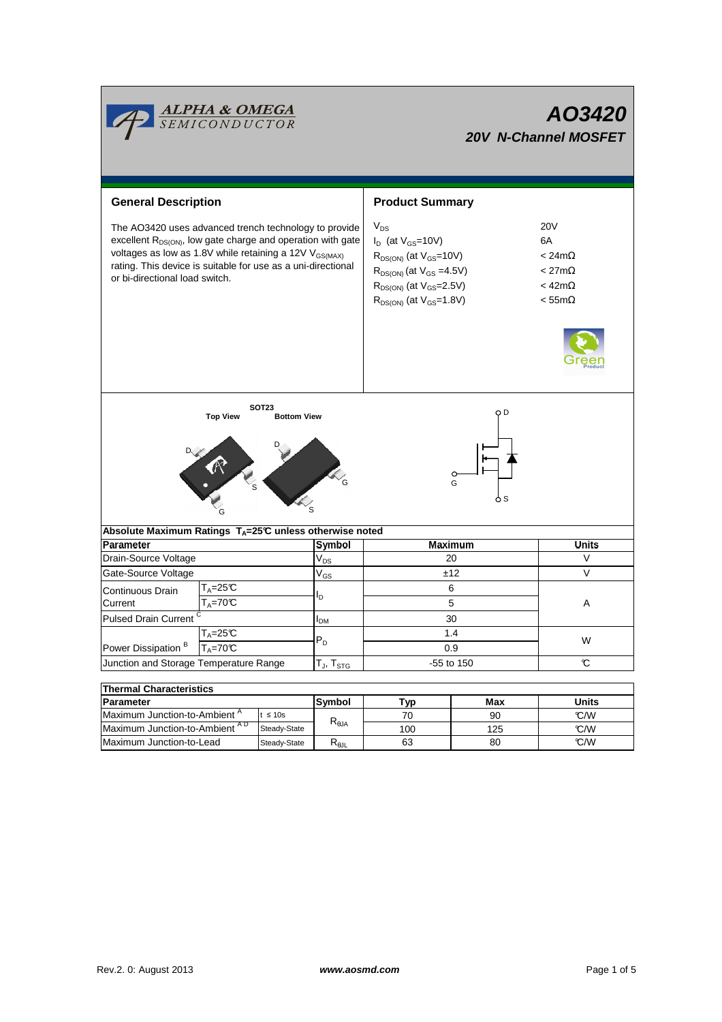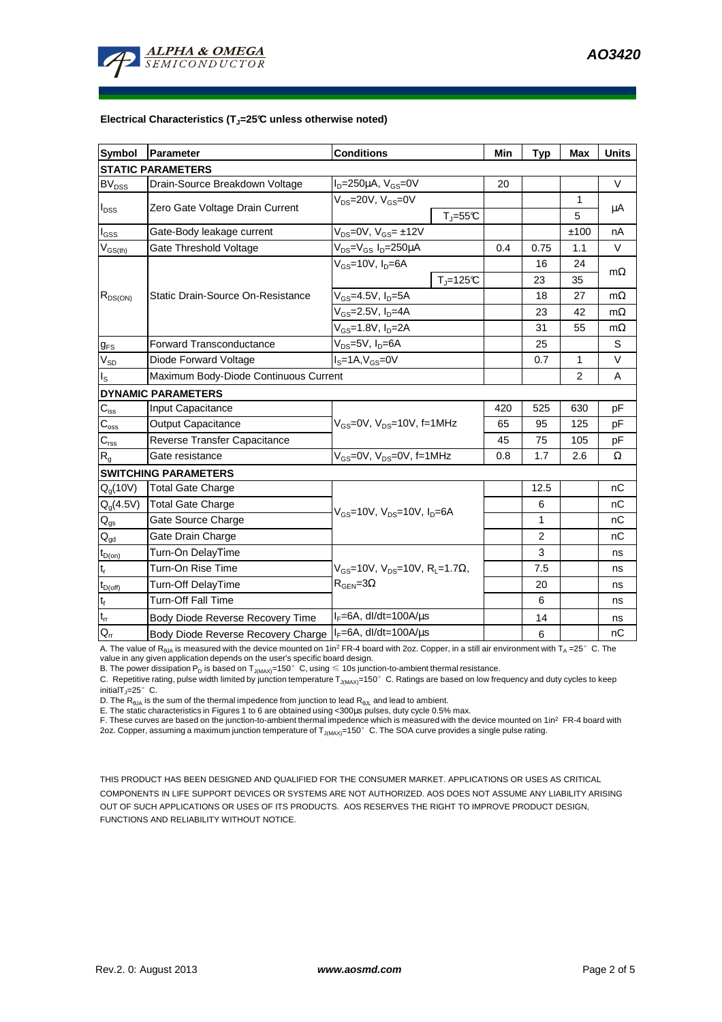

## **Electrical Characteristics (TJ=25°C unless otherwise noted)**

| <b>Symbol</b>               | Parameter                                                 | <b>Conditions</b>                                                                          |                              | Min | <b>Typ</b> | <b>Max</b>   | <b>Units</b> |
|-----------------------------|-----------------------------------------------------------|--------------------------------------------------------------------------------------------|------------------------------|-----|------------|--------------|--------------|
| <b>STATIC PARAMETERS</b>    |                                                           |                                                                                            |                              |     |            |              |              |
| <b>BV<sub>DSS</sub></b>     | Drain-Source Breakdown Voltage                            | $I_D = 250 \mu A$ , $V_{GS} = 0V$                                                          |                              | 20  |            |              | $\vee$       |
| $I_{\text{DSS}}$            | Zero Gate Voltage Drain Current                           | $V_{DS}$ =20V, $V_{GS}$ =0V                                                                |                              |     |            | $\mathbf{1}$ | μA           |
|                             |                                                           |                                                                                            | $T_{\text{J}} = 55^{\circ}C$ |     |            | 5            |              |
| $I_{GS}$                    | Gate-Body leakage current                                 | $V_{DS} = 0V$ , $V_{GS} = \pm 12V$                                                         |                              |     |            | ±100         | nA           |
| $V_{GS(th)}$                | Gate Threshold Voltage                                    | V <sub>DS</sub> =V <sub>GS</sub> I <sub>D</sub> =250µA                                     |                              | 0.4 | 0.75       | 1.1          | V            |
| $R_{DS(ON)}$                | Static Drain-Source On-Resistance                         | $V_{GS}$ =10V, $I_{D}$ =6A                                                                 |                              |     | 16         | 24           |              |
|                             |                                                           |                                                                                            | $T_i = 125C$                 |     | 23         | 35           | $m\Omega$    |
|                             |                                                           | $V_{GS}$ =4.5V, $I_D$ =5A                                                                  |                              |     | 18         | 27           | $m\Omega$    |
|                             |                                                           | $V_{GS}$ =2.5V, $I_{D}$ =4A                                                                |                              |     | 23         | 42           | $m\Omega$    |
|                             |                                                           | V <sub>GS</sub> =1.8V, I <sub>D</sub> =2A                                                  |                              |     | 31         | 55           | mΩ           |
| $g_{FS}$                    | <b>Forward Transconductance</b>                           | $V_{DS} = 5V$ , $I_D = 6A$                                                                 |                              |     | 25         |              | S            |
| $V_{SD}$                    | Diode Forward Voltage                                     | $IS=1A, VGS=0V$                                                                            |                              |     | 0.7        | $\mathbf{1}$ | V            |
| $I_{\rm S}$                 | Maximum Body-Diode Continuous Current                     |                                                                                            |                              |     |            | 2            | A            |
|                             | <b>DYNAMIC PARAMETERS</b>                                 |                                                                                            |                              |     |            |              |              |
| $C_{\text{iss}}$            | Input Capacitance                                         | V <sub>GS</sub> =0V, V <sub>DS</sub> =10V, f=1MHz                                          |                              | 420 | 525        | 630          | рF           |
| $C_{\rm oss}$               | Output Capacitance                                        |                                                                                            |                              | 65  | 95         | 125          | pF           |
| $C_{\rm rss}$               | Reverse Transfer Capacitance                              |                                                                                            |                              | 45  | 75         | 105          | pF           |
| R <sub>g</sub>              | Gate resistance                                           | $V_{GS}$ =0V, $V_{DS}$ =0V, f=1MHz                                                         |                              | 0.8 | 1.7        | 2.6          | Ω            |
| <b>SWITCHING PARAMETERS</b> |                                                           |                                                                                            |                              |     |            |              |              |
| Q <sub>q</sub> (10V)        | <b>Total Gate Charge</b>                                  | $V_{GS}$ =10V, $V_{DS}$ =10V, $I_{D}$ =6A                                                  |                              |     | 12.5       |              | nC           |
| $Q_g(4.5V)$                 | <b>Total Gate Charge</b>                                  |                                                                                            |                              |     | 6          |              | nC           |
| $\mathsf{Q}_{\mathsf{gs}}$  | Gate Source Charge                                        |                                                                                            |                              |     | 1          |              | nC           |
| $Q_{gd}$                    | Gate Drain Charge                                         |                                                                                            |                              |     | 2          |              | nC           |
| $t_{D(0n)}$                 | Turn-On DelayTime                                         |                                                                                            |                              |     | 3          |              | ns           |
| $t_r$                       | Turn-On Rise Time                                         | $V_{GS}$ =10V, $V_{DS}$ =10V, R <sub>1</sub> =1.7 $\Omega$ ,<br>$R_{\text{GEN}} = 3\Omega$ |                              |     | 7.5        |              | ns           |
| $t_{D(off)}$                | Turn-Off DelayTime                                        |                                                                                            |                              |     | 20         |              | ns           |
| $\mathbf{t}_\text{f}$       | <b>Turn-Off Fall Time</b>                                 |                                                                                            |                              |     | 6          |              | ns           |
| $t_{rr}$                    | Body Diode Reverse Recovery Time                          | $I_F = 6A$ , dl/dt=100A/ $\mu$ s                                                           |                              |     | 14         |              | ns           |
| $Q_{rr}$                    | Body Diode Reverse Recovery Charge   IF=6A, dl/dt=100A/us |                                                                                            |                              |     | 6          |              | nC           |

A. The value of R<sub>eJA</sub> is measured with the device mounted on 1in<sup>2</sup> FR-4 board with 2oz. Copper, in a still air environment with T<sub>A</sub> =25°C. The<br>value in any given application depends on the user's specific board design.

B. The power dissipation P<sub>D</sub> is based on T<sub>J(MAX)</sub>=150°C, using ≤ 10s junction-to-ambient thermal resistance.

C. Repetitive rating, pulse width limited by junction temperature T<sub>J(MAX)</sub>=150°C. Ratings are based on low frequency and duty cycles to keep initialT<sub>J</sub>=25 $^{\circ}$  C.

D. The  $R_{\theta JA}$  is the sum of the thermal impedence from junction to lead  $R_{\theta JL}$  and lead to ambient.

E. The static characteristics in Figures 1 to 6 are obtained using <300µs pulses, duty cycle 0.5% max.

F. These curves are based on the junction-to-ambient thermal impedence which is measured with the device mounted on 1in<sup>2</sup> FR-4 board with 2oz. Copper, assuming a maximum junction temperature of  $T_{J(MAX)}$ =150°C. The SOA curve provides a single pulse rating.

THIS PRODUCT HAS BEEN DESIGNED AND QUALIFIED FOR THE CONSUMER MARKET. APPLICATIONS OR USES AS CRITICAL COMPONENTS IN LIFE SUPPORT DEVICES OR SYSTEMS ARE NOT AUTHORIZED. AOS DOES NOT ASSUME ANY LIABILITY ARISING OUT OF SUCH APPLICATIONS OR USES OF ITS PRODUCTS. AOS RESERVES THE RIGHT TO IMPROVE PRODUCT DESIGN, FUNCTIONS AND RELIABILITY WITHOUT NOTICE.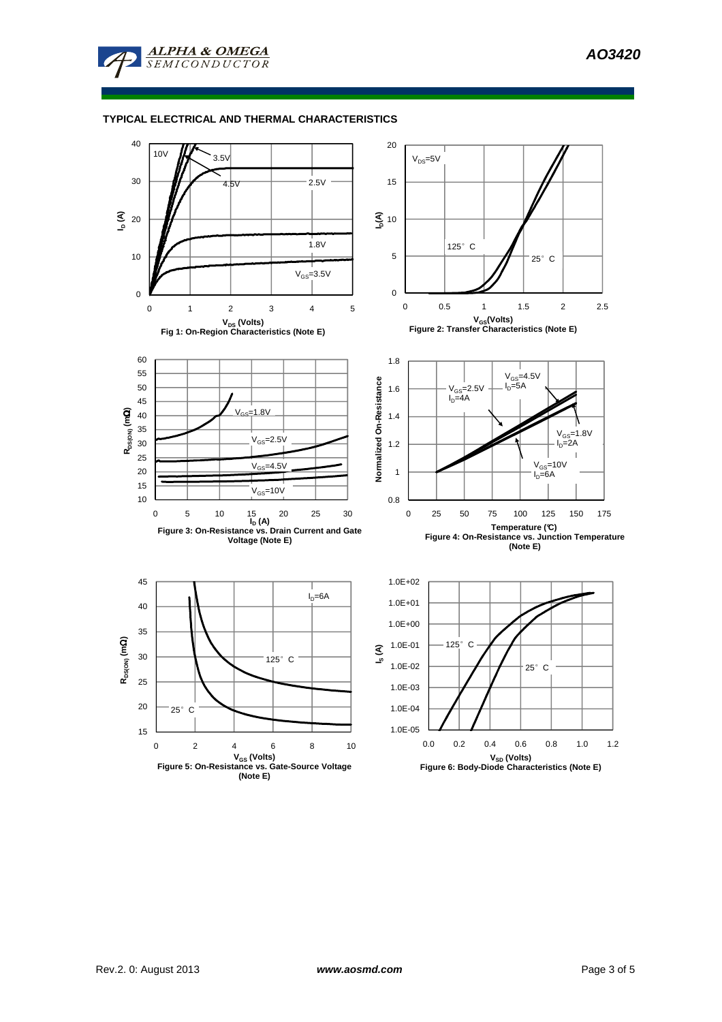

## **TYPICAL ELECTRICAL AND THERMAL CHARACTERISTICS**

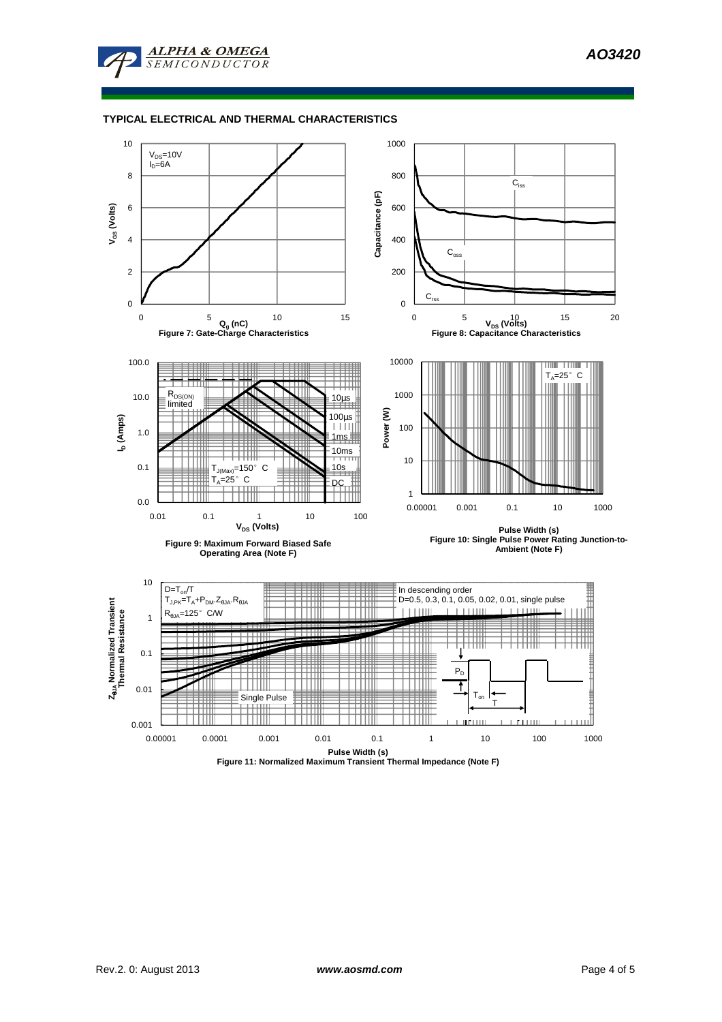

## **TYPICAL ELECTRICAL AND THERMAL CHARACTERISTICS**